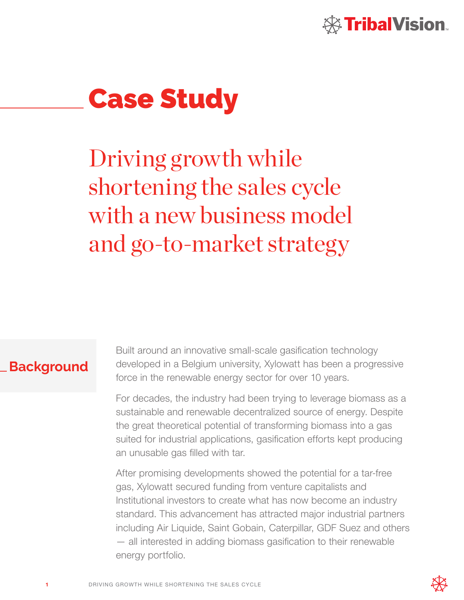

# Case Study

Driving growth while shortening the sales cycle with a new business model and go-to-market strategy

## **Background**

Built around an innovative small-scale gasification technology developed in a Belgium university, Xylowatt has been a progressive force in the renewable energy sector for over 10 years.

For decades, the industry had been trying to leverage biomass as a sustainable and renewable decentralized source of energy. Despite the great theoretical potential of transforming biomass into a gas suited for industrial applications, gasification efforts kept producing an unusable gas filled with tar.

After promising developments showed the potential for a tar-free gas, Xylowatt secured funding from venture capitalists and Institutional investors to create what has now become an industry standard. This advancement has attracted major industrial partners including Air Liquide, Saint Gobain, Caterpillar, GDF Suez and others — all interested in adding biomass gasification to their renewable energy portfolio.

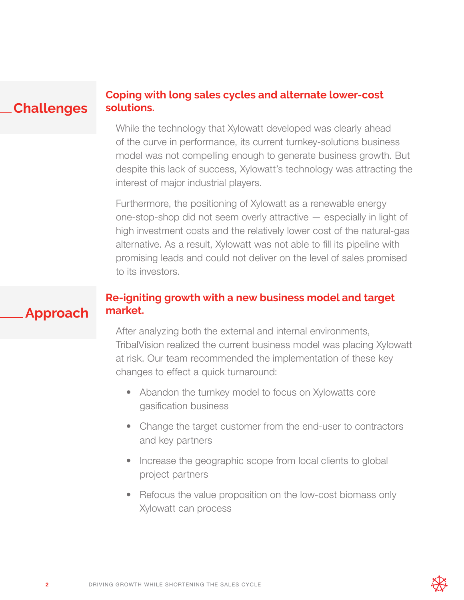#### **Coping with long sales cycles and alternate lower-cost solutions. Challenges**

While the technology that Xylowatt developed was clearly ahead of the curve in performance, its current turnkey-solutions business model was not compelling enough to generate business growth. But despite this lack of success, Xylowatt's technology was attracting the interest of major industrial players.

Furthermore, the positioning of Xylowatt as a renewable energy one-stop-shop did not seem overly attractive — especially in light of high investment costs and the relatively lower cost of the natural-gas alternative. As a result, Xylowatt was not able to fill its pipeline with promising leads and could not deliver on the level of sales promised to its investors.

## **Re-igniting growth with a new business model and target market.**

After analyzing both the external and internal environments, TribalVision realized the current business model was placing Xylowatt at risk. Our team recommended the implementation of these key changes to effect a quick turnaround:

- Abandon the turnkey model to focus on Xylowatts core gasification business
- Change the target customer from the end-user to contractors and key partners
- Increase the geographic scope from local clients to global project partners
- Refocus the value proposition on the low-cost biomass only Xylowatt can process

**Approach**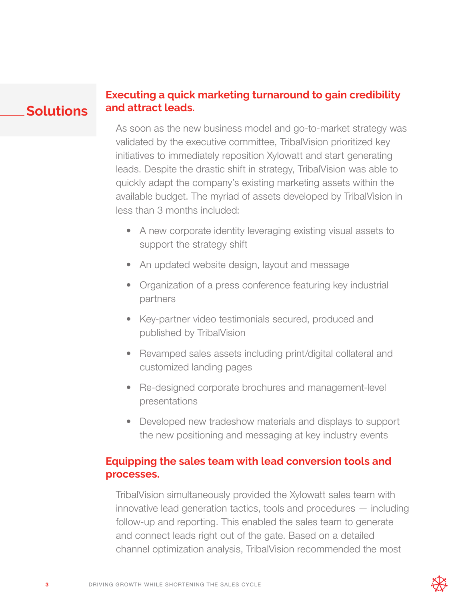#### **Executing a quick marketing turnaround to gain credibility and attract leads. Solutions**

As soon as the new business model and go-to-market strategy was validated by the executive committee, TribalVision prioritized key initiatives to immediately reposition Xylowatt and start generating leads. Despite the drastic shift in strategy, TribalVision was able to quickly adapt the company's existing marketing assets within the available budget. The myriad of assets developed by TribalVision in less than 3 months included:

- A new corporate identity leveraging existing visual assets to support the strategy shift
- An updated website design, layout and message
- Organization of a press conference featuring key industrial partners
- Key-partner video testimonials secured, produced and published by TribalVision
- Revamped sales assets including print/digital collateral and customized landing pages
- Re-designed corporate brochures and management-level presentations
- Developed new tradeshow materials and displays to support the new positioning and messaging at key industry events

## **Equipping the sales team with lead conversion tools and processes.**

TribalVision simultaneously provided the Xylowatt sales team with innovative lead generation tactics, tools and procedures — including follow-up and reporting. This enabled the sales team to generate and connect leads right out of the gate. Based on a detailed channel optimization analysis, TribalVision recommended the most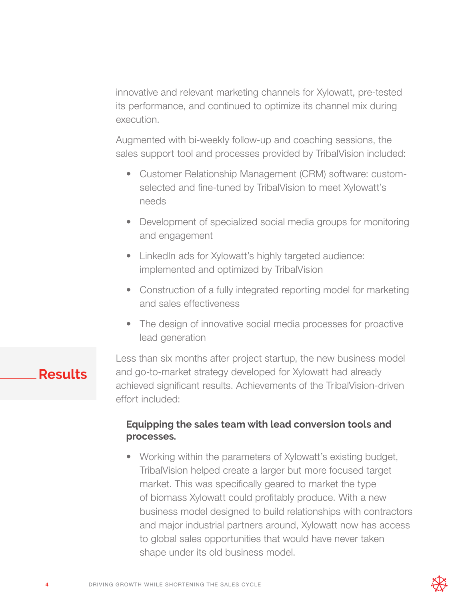innovative and relevant marketing channels for Xylowatt, pre-tested its performance, and continued to optimize its channel mix during execution.

Augmented with bi-weekly follow-up and coaching sessions, the sales support tool and processes provided by TribalVision included:

- Customer Relationship Management (CRM) software: customselected and fine-tuned by TribalVision to meet Xylowatt's needs
- Development of specialized social media groups for monitoring and engagement
- LinkedIn ads for Xylowatt's highly targeted audience: implemented and optimized by TribalVision
- Construction of a fully integrated reporting model for marketing and sales effectiveness
- The design of innovative social media processes for proactive lead generation

# **Results**

Less than six months after project startup, the new business model and go-to-market strategy developed for Xylowatt had already achieved significant results. Achievements of the TribalVision-driven effort included:

### **Equipping the sales team with lead conversion tools and processes.**

• Working within the parameters of Xylowatt's existing budget, TribalVision helped create a larger but more focused target market. This was specifically geared to market the type of biomass Xylowatt could profitably produce. With a new business model designed to build relationships with contractors and major industrial partners around, Xylowatt now has access to global sales opportunities that would have never taken shape under its old business model.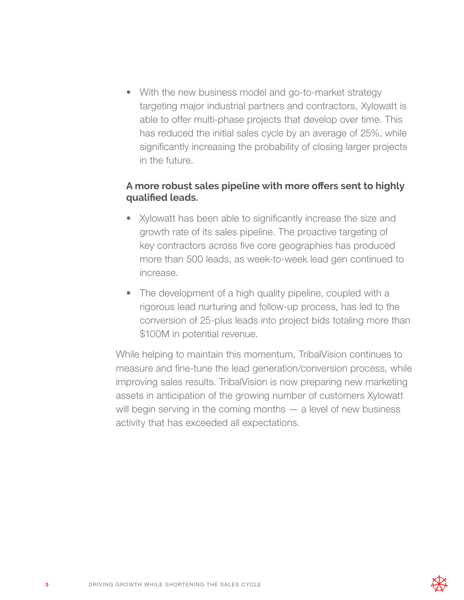• With the new business model and go-to-market strategy targeting major industrial partners and contractors, Xylowatt is able to offer multi-phase projects that develop over time. This has reduced the initial sales cycle by an average of 25%, while significantly increasing the probability of closing larger projects in the future.

#### **A more robust sales pipeline with more offers sent to highly qualified leads.**

- Xylowatt has been able to significantly increase the size and growth rate of its sales pipeline. The proactive targeting of key contractors across five core geographies has produced more than 500 leads, as week-to-week lead gen continued to increase.
- The development of a high quality pipeline, coupled with a rigorous lead nurturing and follow-up process, has led to the conversion of 25-plus leads into project bids totaling more than \$100M in potential revenue.

While helping to maintain this momentum, TribalVision continues to measure and fine-tune the lead generation/conversion process, while improving sales results. TribalVision is now preparing new marketing assets in anticipation of the growing number of customers Xylowatt will begin serving in the coming months  $-$  a level of new business activity that has exceeded all expectations.